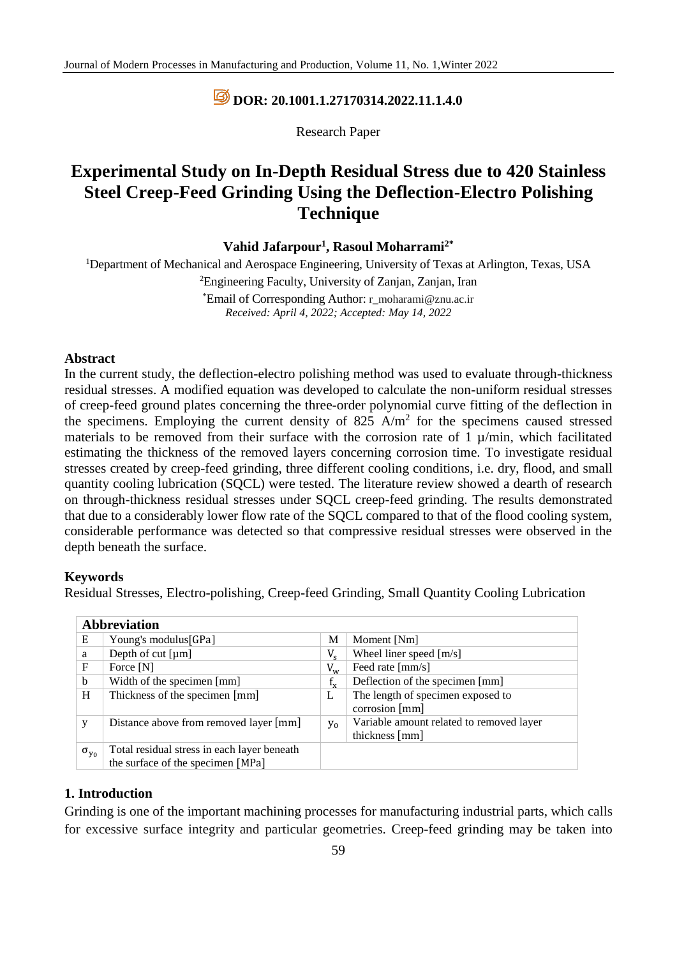## **DOR: [20.1001.1.27170314.2022.11.1.4.0](https://dorl.net/dor/20.1001.1.27170314.2022.11.1.4.0)**

Research Paper

# **Experimental Study on In-Depth Residual Stress due to 420 Stainless Steel Creep-Feed Grinding Using the Deflection-Electro Polishing Technique**

#### **Vahid Jafarpour<sup>1</sup> , Rasoul Moharrami2\***

<sup>1</sup>Department of Mechanical and Aerospace Engineering, University of Texas at Arlington, Texas, USA <sup>2</sup>Engineering Faculty, University of Zanjan, Zanjan, Iran \*Email of Corresponding Author: r\_moharami@znu.ac.ir *Received: April 4, 2022; Accepted: May 14, 2022*

#### **Abstract**

In the current study, the deflection-electro polishing method was used to evaluate through-thickness residual stresses. A modified equation was developed to calculate the non-uniform residual stresses of creep-feed ground plates concerning the three-order polynomial curve fitting of the deflection in the specimens. Employing the current density of 825  $A/m<sup>2</sup>$  for the specimens caused stressed materials to be removed from their surface with the corrosion rate of  $1 \mu/min$ , which facilitated estimating the thickness of the removed layers concerning corrosion time. To investigate residual stresses created by creep-feed grinding, three different cooling conditions, i.e. dry, flood, and small quantity cooling lubrication (SQCL) were tested. The literature review showed a dearth of research on through-thickness residual stresses under SQCL creep-feed grinding. The results demonstrated that due to a considerably lower flow rate of the SQCL compared to that of the flood cooling system, considerable performance was detected so that compressive residual stresses were observed in the depth beneath the surface.

#### **Keywords**

Residual Stresses, Electro-polishing, Creep-feed Grinding, Small Quantity Cooling Lubrication

| <b>Abbreviation</b> |                                             |             |                                                            |  |  |  |
|---------------------|---------------------------------------------|-------------|------------------------------------------------------------|--|--|--|
| Ε                   | Young's modulus[GPa]                        | M           | Moment [Nm]                                                |  |  |  |
| a                   | Depth of cut $\lceil \mu m \rceil$          | $V_{s}$     | Wheel liner speed [m/s]                                    |  |  |  |
| F                   | Force [N]                                   | $V_{w}$     | Feed rate [mm/s]                                           |  |  |  |
| b                   | Width of the specimen [mm]                  | $f_{\rm v}$ | Deflection of the specimen [mm]                            |  |  |  |
| H                   | Thickness of the specimen [mm]              | L           | The length of specimen exposed to<br>corrosion [mm]        |  |  |  |
| y                   | Distance above from removed layer [mm]      | $y_0$       | Variable amount related to removed layer<br>thickness [mm] |  |  |  |
| $\sigma_{y_0}$      | Total residual stress in each layer beneath |             |                                                            |  |  |  |
|                     | the surface of the specimen [MPa]           |             |                                                            |  |  |  |

#### **1. Introduction**

Grinding is one of the important machining processes for manufacturing industrial parts, which calls for excessive surface integrity and particular geometries. Creep-feed grinding may be taken into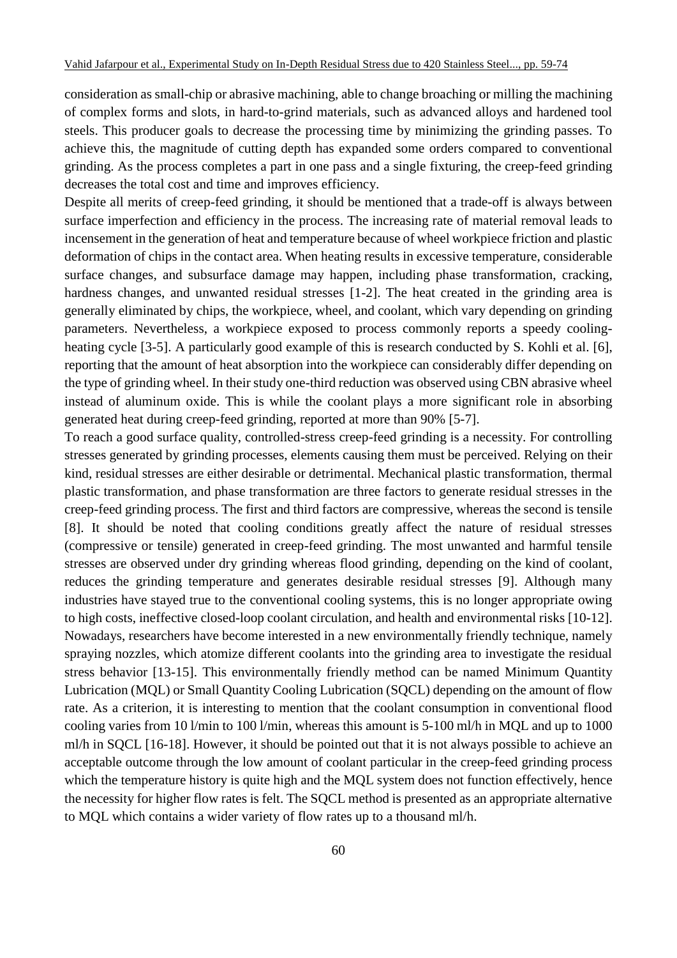consideration as small-chip or abrasive machining, able to change broaching or milling the machining of complex forms and slots, in hard-to-grind materials, such as advanced alloys and hardened tool steels. This producer goals to decrease the processing time by minimizing the grinding passes. To achieve this, the magnitude of cutting depth has expanded some orders compared to conventional grinding. As the process completes a part in one pass and a single fixturing, the creep-feed grinding decreases the total cost and time and improves efficiency.

Despite all merits of creep-feed grinding, it should be mentioned that a trade-off is always between surface imperfection and efficiency in the process. The increasing rate of material removal leads to incensement in the generation of heat and temperature because of wheel workpiece friction and plastic deformation of chips in the contact area. When heating results in excessive temperature, considerable surface changes, and subsurface damage may happen, including phase transformation, cracking, hardness changes, and unwanted residual stresses [1-2]. The heat created in the grinding area is generally eliminated by chips, the workpiece, wheel, and coolant, which vary depending on grinding parameters. Nevertheless, a workpiece exposed to process commonly reports a speedy coolingheating cycle [3-5]. A particularly good example of this is research conducted by S. Kohli et al. [6], reporting that the amount of heat absorption into the workpiece can considerably differ depending on the type of grinding wheel. In their study one-third reduction was observed using CBN abrasive wheel instead of aluminum oxide. This is while the coolant plays a more significant role in absorbing generated heat during creep-feed grinding, reported at more than 90% [5-7].

To reach a good surface quality, controlled-stress creep-feed grinding is a necessity. For controlling stresses generated by grinding processes, elements causing them must be perceived. Relying on their kind, residual stresses are either desirable or detrimental. Mechanical plastic transformation, thermal plastic transformation, and phase transformation are three factors to generate residual stresses in the creep-feed grinding process. The first and third factors are compressive, whereas the second is tensile [8]. It should be noted that cooling conditions greatly affect the nature of residual stresses (compressive or tensile) generated in creep-feed grinding. The most unwanted and harmful tensile stresses are observed under dry grinding whereas flood grinding, depending on the kind of coolant, reduces the grinding temperature and generates desirable residual stresses [9]. Although many industries have stayed true to the conventional cooling systems, this is no longer appropriate owing to high costs, ineffective closed-loop coolant circulation, and health and environmental risks [10-12]. Nowadays, researchers have become interested in a new environmentally friendly technique, namely spraying nozzles, which atomize different coolants into the grinding area to investigate the residual stress behavior [13-15]. This environmentally friendly method can be named Minimum Quantity Lubrication (MQL) or Small Quantity Cooling Lubrication (SQCL) depending on the amount of flow rate. As a criterion, it is interesting to mention that the coolant consumption in conventional flood cooling varies from 10 l/min to 100 l/min, whereas this amount is 5-100 ml/h in MQL and up to 1000 ml/h in SQCL [16-18]. However, it should be pointed out that it is not always possible to achieve an acceptable outcome through the low amount of coolant particular in the creep-feed grinding process which the temperature history is quite high and the MOL system does not function effectively, hence the necessity for higher flow rates is felt. The SQCL method is presented as an appropriate alternative to MQL which contains a wider variety of flow rates up to a thousand ml/h.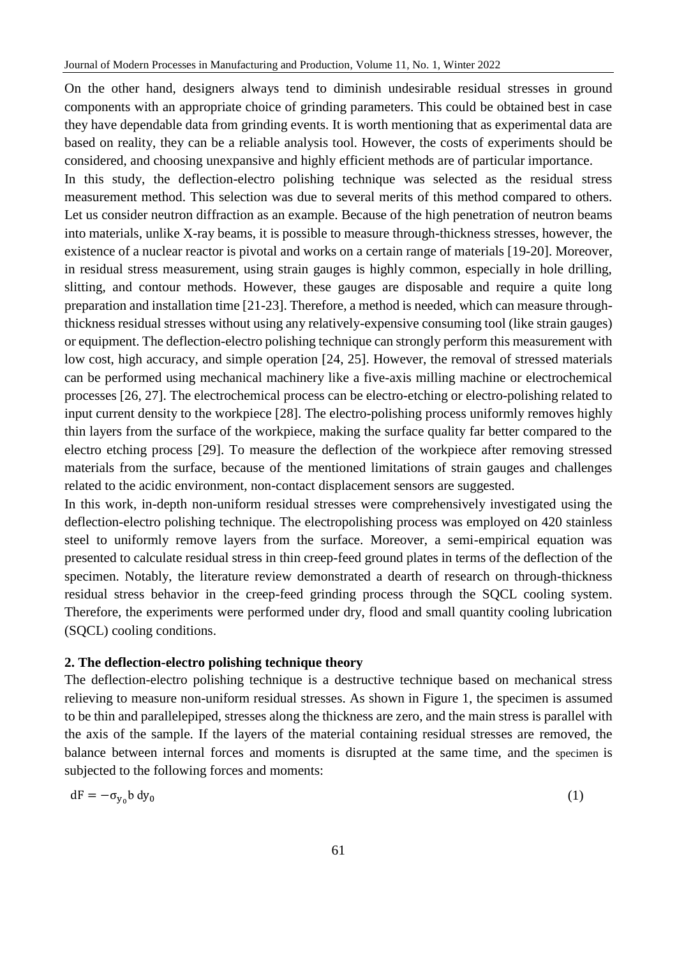On the other hand, designers always tend to diminish undesirable residual stresses in ground components with an appropriate choice of grinding parameters. This could be obtained best in case they have dependable data from grinding events. It is worth mentioning that as experimental data are based on reality, they can be a reliable analysis tool. However, the costs of experiments should be considered, and choosing unexpansive and highly efficient methods are of particular importance.

In this study, the deflection-electro polishing technique was selected as the residual stress measurement method. This selection was due to several merits of this method compared to others. Let us consider neutron diffraction as an example. Because of the high penetration of neutron beams into materials, unlike X-ray beams, it is possible to measure through-thickness stresses, however, the existence of a nuclear reactor is pivotal and works on a certain range of materials [19-20]. Moreover, in residual stress measurement, using strain gauges is highly common, especially in hole drilling, slitting, and contour methods. However, these gauges are disposable and require a quite long preparation and installation time [21-23]. Therefore, a method is needed, which can measure throughthickness residual stresses without using any relatively-expensive consuming tool (like strain gauges) or equipment. The deflection-electro polishing technique can strongly perform this measurement with low cost, high accuracy, and simple operation [24, 25]. However, the removal of stressed materials can be performed using mechanical machinery like a five-axis milling machine or electrochemical processes [26, 27]. The electrochemical process can be electro-etching or electro-polishing related to input current density to the workpiece [28]. The electro-polishing process uniformly removes highly thin layers from the surface of the workpiece, making the surface quality far better compared to the electro etching process [29]. To measure the deflection of the workpiece after removing stressed materials from the surface, because of the mentioned limitations of strain gauges and challenges related to the acidic environment, non-contact displacement sensors are suggested.

In this work, in-depth non-uniform residual stresses were comprehensively investigated using the deflection-electro polishing technique. The electropolishing process was employed on 420 stainless steel to uniformly remove layers from the surface. Moreover, a semi-empirical equation was presented to calculate residual stress in thin creep-feed ground plates in terms of the deflection of the specimen. Notably, the literature review demonstrated a dearth of research on through-thickness residual stress behavior in the creep-feed grinding process through the SQCL cooling system. Therefore, the experiments were performed under dry, flood and small quantity cooling lubrication (SQCL) cooling conditions.

#### **2. The deflection-electro polishing technique theory**

The deflection-electro polishing technique is a destructive technique based on mechanical stress relieving to measure non-uniform residual stresses. As shown in Figure 1, the specimen is assumed to be thin and parallelepiped, stresses along the thickness are zero, and the main stress is parallel with the axis of the sample. If the layers of the material containing residual stresses are removed, the balance between internal forces and moments is disrupted at the same time, and the specimen is subjected to the following forces and moments:

$$
dF = -\sigma_{y_0} b \, dy_0 \tag{1}
$$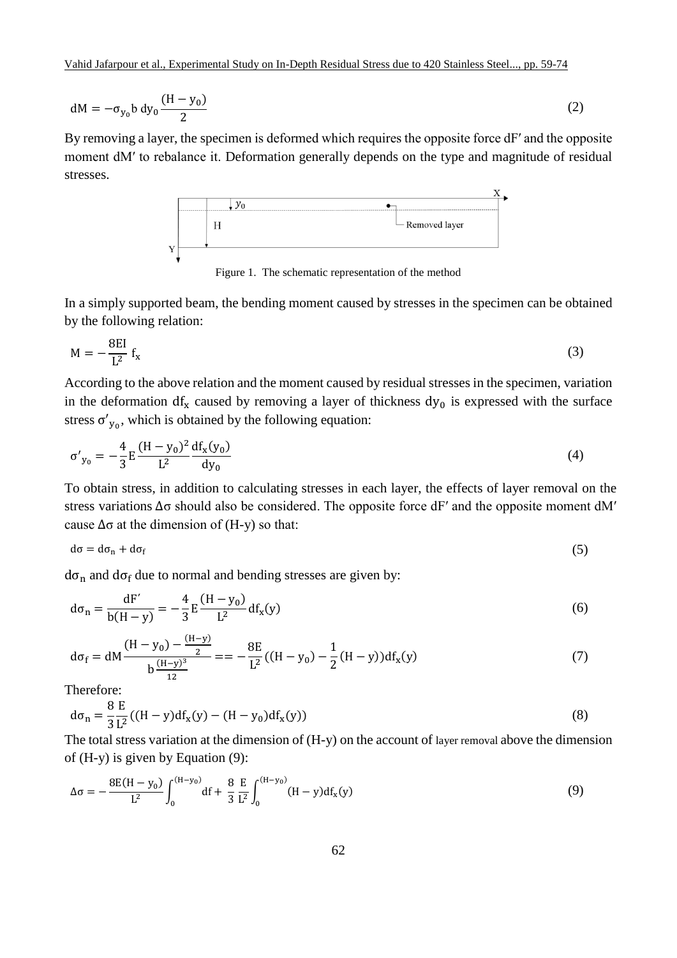Vahid Jafarpour et al., Experimental Study on In-Depth Residual Stress due to 420 Stainless Steel..., pp. 59-74

$$
dM = -\sigma_{y_0} b \, dy_0 \frac{(H - y_0)}{2} \tag{2}
$$

By removing a layer, the specimen is deformed which requires the opposite force  $dF'$  and the opposite moment dM′ to rebalance it. Deformation generally depends on the type and magnitude of residual stresses.



Figure 1. The schematic representation of the method

In a simply supported beam, the bending moment caused by stresses in the specimen can be obtained by the following relation:

$$
M = -\frac{8EI}{L^2} f_x \tag{3}
$$

According to the above relation and the moment caused by residual stresses in the specimen, variation in the deformation  $df_x$  caused by removing a layer of thickness  $dy_0$  is expressed with the surface stress  $\sigma'_{y_0}$ , which is obtained by the following equation:

$$
\sigma'_{y_0} = -\frac{4}{3} E \frac{(H - y_0)^2}{L^2} \frac{df_x(y_0)}{dy_0}
$$
(4)

To obtain stress, in addition to calculating stresses in each layer, the effects of layer removal on the stress variations ∆σ should also be considered. The opposite force dF′ and the opposite moment dM′ cause  $\Delta \sigma$  at the dimension of (H-y) so that:

$$
d\sigma = d\sigma_n + d\sigma_f \tag{5}
$$

 $d\sigma_n$  and  $d\sigma_f$  due to normal and bending stresses are given by:

$$
d\sigma_n = \frac{dF'}{b(H - y)} = -\frac{4}{3}E\frac{(H - y_0)}{L^2}df_x(y)
$$
(6)

$$
d\sigma_f = dM \frac{(H - y_0) - \frac{(H - y)}{2}}{b \frac{(H - y)^3}{12}} = -\frac{8E}{L^2}((H - y_0) - \frac{1}{2}(H - y))df_x(y)
$$
(7)

Therefore:

$$
d\sigma_n = \frac{8}{3} \frac{E}{L^2} ((H - y) df_x(y) - (H - y_0) df_x(y))
$$
\n(8)

The total stress variation at the dimension of (H-y) on the account of layer removal above the dimension of (H-y) is given by Equation (9):

$$
\Delta \sigma = -\frac{8E(H - y_0)}{L^2} \int_0^{(H - y_0)} df + \frac{8}{3} \frac{E}{L^2} \int_0^{(H - y_0)} (H - y) df_x(y)
$$
(9)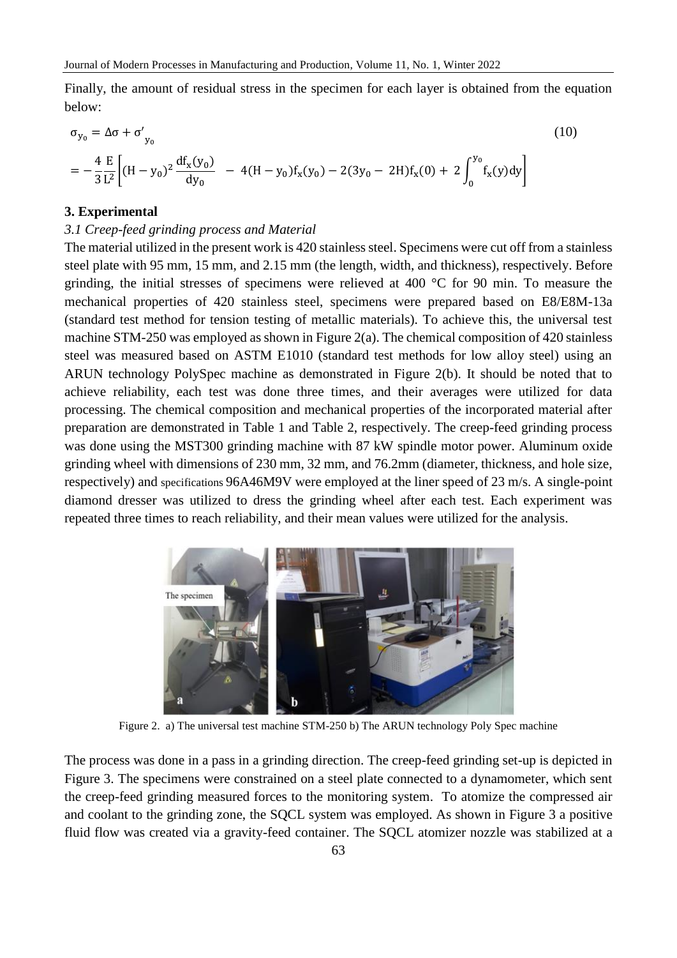Finally, the amount of residual stress in the specimen for each layer is obtained from the equation below:

$$
\sigma_{y_0} = \Delta \sigma + \sigma'_{y_0}
$$
\n
$$
= -\frac{4}{3} \frac{E}{L^2} \Big[ (H - y_0)^2 \frac{df_x(y_0)}{dy_0} - 4(H - y_0)f_x(y_0) - 2(3y_0 - 2H)f_x(0) + 2 \int_0^{y_0} f_x(y)dy \Big]
$$
\n(10)

#### **3. Experimental**

#### *3.1 Creep-feed grinding process and Material*

The material utilized in the present work is 420 stainless steel. Specimens were cut off from a stainless steel plate with 95 mm, 15 mm, and 2.15 mm (the length, width, and thickness), respectively. Before grinding, the initial stresses of specimens were relieved at 400 °C for 90 min. To measure the mechanical properties of 420 stainless steel, specimens were prepared based on E8/E8M-13a (standard test method for tension testing of metallic materials). To achieve this, the universal test machine STM-250 was employed as shown in Figure 2(a). The chemical composition of 420 stainless steel was measured based on ASTM E1010 (standard test methods for low alloy steel) using an ARUN technology PolySpec machine as demonstrated in Figure 2(b). It should be noted that to achieve reliability, each test was done three times, and their averages were utilized for data processing. The chemical composition and mechanical properties of the incorporated material after preparation are demonstrated in Table 1 and Table 2, respectively. The creep-feed grinding process was done using the MST300 grinding machine with 87 kW spindle motor power. Aluminum oxide grinding wheel with dimensions of 230 mm, 32 mm, and 76.2mm (diameter, thickness, and hole size, respectively) and specifications 96A46M9V were employed at the liner speed of 23 m/s. A single-point diamond dresser was utilized to dress the grinding wheel after each test. Each experiment was repeated three times to reach reliability, and their mean values were utilized for the analysis.



Figure 2. a) The universal test machine STM-250 b) The ARUN technology Poly Spec machine

The process was done in a pass in a grinding direction. The creep-feed grinding set-up is depicted in Figure 3. The specimens were constrained on a steel plate connected to a dynamometer, which sent the creep-feed grinding measured forces to the monitoring system. To atomize the compressed air and coolant to the grinding zone, the SQCL system was employed. As shown in Figure 3 a positive fluid flow was created via a gravity-feed container. The SQCL atomizer nozzle was stabilized at a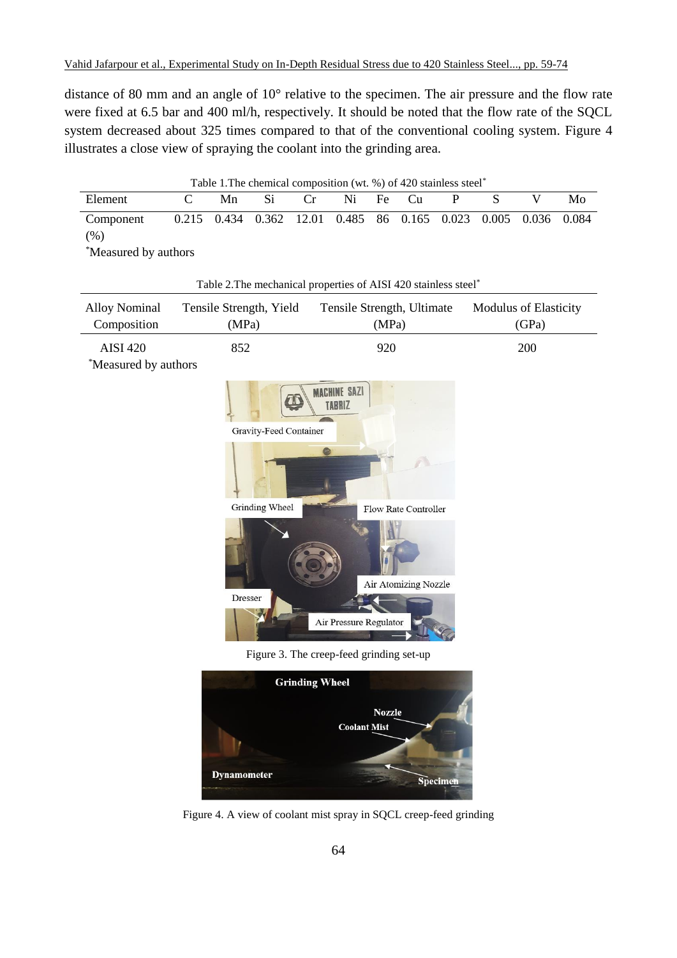distance of 80 mm and an angle of 10° relative to the specimen. The air pressure and the flow rate were fixed at 6.5 bar and 400 ml/h, respectively. It should be noted that the flow rate of the SQCL system decreased about 325 times compared to that of the conventional cooling system. Figure 4 illustrates a close view of spraying the coolant into the grinding area.

| Table 1. The chemical composition (wt. %) of 420 stainless steel <sup>*</sup> |  |    |                                                                |    |    |  |       |  |  |    |
|-------------------------------------------------------------------------------|--|----|----------------------------------------------------------------|----|----|--|-------|--|--|----|
| Element                                                                       |  | Mn | -Si                                                            | Cr | Ni |  | Fe Cu |  |  | Mo |
| Component<br>(%)                                                              |  |    | 0.215 0.434 0.362 12.01 0.485 86 0.165 0.023 0.005 0.036 0.084 |    |    |  |       |  |  |    |
| *Measured by authors                                                          |  |    |                                                                |    |    |  |       |  |  |    |

|                                     |                                  | Table 2. The mechanical properties of AISI 420 stainless steel* |                                |
|-------------------------------------|----------------------------------|-----------------------------------------------------------------|--------------------------------|
| <b>Alloy Nominal</b><br>Composition | Tensile Strength, Yield<br>(MPa) | Tensile Strength, Ultimate<br>(MPa)                             | Modulus of Elasticity<br>(GPa) |
| <b>AISI 420</b>                     | 852                              | 920                                                             | 200                            |
| *Measured by authors                |                                  |                                                                 |                                |
|                                     | Gravity-Feed Container           | <b>MACHINE SAZI</b><br><b>TABRIZ</b>                            |                                |
|                                     | Grinding Wheel                   | Flow Rate Controller                                            |                                |
|                                     |                                  | Air Atomizing Nozzle                                            |                                |
|                                     | Dresser                          | Air Pressure Regulator                                          |                                |
|                                     |                                  | Figure 3. The creep-feed grinding set-up                        |                                |
|                                     |                                  | <b>Grinding Wheel</b><br><b>Nozzle</b><br><b>Coolant Mist</b>   |                                |

Figure 4. A view of coolant mist spray in SQCL creep-feed grinding

Specime

**Dynamometer**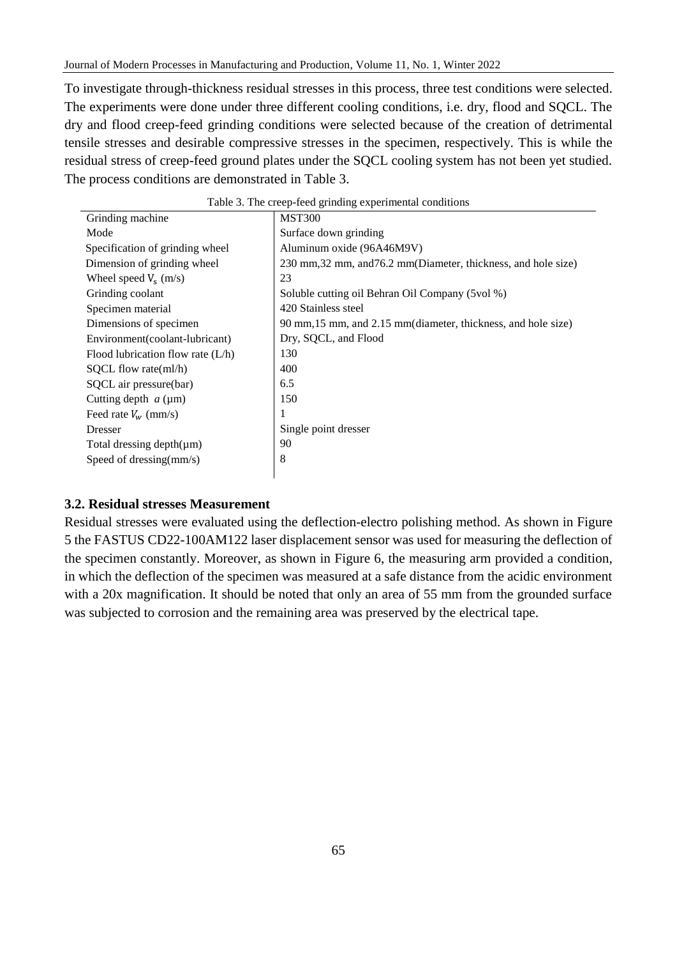To investigate through-thickness residual stresses in this process, three test conditions were selected. The experiments were done under three different cooling conditions, i.e. dry, flood and SQCL. The dry and flood creep-feed grinding conditions were selected because of the creation of detrimental tensile stresses and desirable compressive stresses in the specimen, respectively. This is while the residual stress of creep-feed ground plates under the SQCL cooling system has not been yet studied. The process conditions are demonstrated in Table 3.

| Grinding machine                    | <b>MST300</b>                                                   |
|-------------------------------------|-----------------------------------------------------------------|
| Mode                                | Surface down grinding                                           |
| Specification of grinding wheel     | Aluminum oxide (96A46M9V)                                       |
| Dimension of grinding wheel         | 230 mm, 32 mm, and 76.2 mm (Diameter, thickness, and hole size) |
| Wheel speed $V_s$ (m/s)             | 23                                                              |
| Grinding coolant                    | Soluble cutting oil Behran Oil Company (5vol %)                 |
| Specimen material                   | 420 Stainless steel                                             |
| Dimensions of specimen              | 90 mm, 15 mm, and 2.15 mm (diameter, thickness, and hole size)  |
| Environment(coolant-lubricant)      | Dry, SQCL, and Flood                                            |
| Flood lubrication flow rate $(L/h)$ | 130                                                             |
| $SQCL$ flow rate(ml/h)              | 400                                                             |
| SQCL air pressure(bar)              | 6.5                                                             |
| Cutting depth $a \, (\mu m)$        | 150                                                             |
| Feed rate $V_w$ (mm/s)              | -1                                                              |
| Dresser                             | Single point dresser                                            |
| Total dressing depth $(\mu m)$      | 90                                                              |
| Speed of dressing $\text{mm/s}$ )   | 8                                                               |
|                                     |                                                                 |

| Table 3. The creep-feed grinding experimental conditions |  |  |
|----------------------------------------------------------|--|--|
|----------------------------------------------------------|--|--|

#### **3.2. Residual stresses Measurement**

Residual stresses were evaluated using the deflection-electro polishing method. As shown in Figure 5 the FASTUS CD22-100AM122 laser displacement sensor was used for measuring the deflection of the specimen constantly. Moreover, as shown in Figure 6, the measuring arm provided a condition, in which the deflection of the specimen was measured at a safe distance from the acidic environment with a 20x magnification. It should be noted that only an area of 55 mm from the grounded surface was subjected to corrosion and the remaining area was preserved by the electrical tape.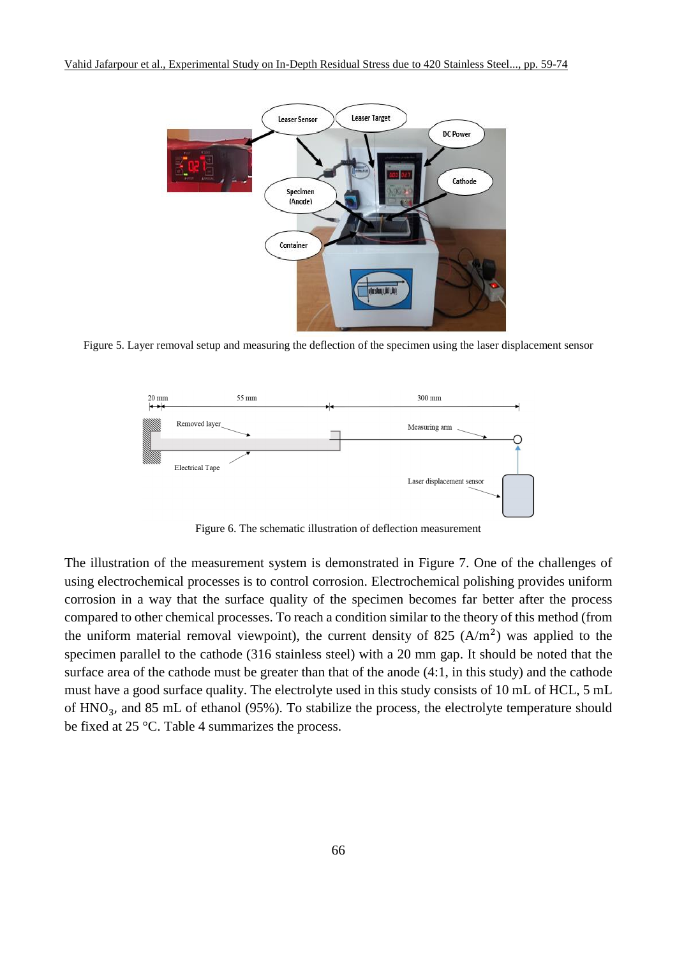

Figure 5. Layer removal setup and measuring the deflection of the specimen using the laser displacement sensor



Figure 6. The schematic illustration of deflection measurement

The illustration of the measurement system is demonstrated in Figure 7. One of the challenges of using electrochemical processes is to control corrosion. Electrochemical polishing provides uniform corrosion in a way that the surface quality of the specimen becomes far better after the process compared to other chemical processes. To reach a condition similar to the theory of this method (from the uniform material removal viewpoint), the current density of 825  $(A/m<sup>2</sup>)$  was applied to the specimen parallel to the cathode (316 stainless steel) with a 20 mm gap. It should be noted that the surface area of the cathode must be greater than that of the anode (4:1, in this study) and the cathode must have a good surface quality. The electrolyte used in this study consists of 10 mL of HCL, 5 mL of  $HNO<sub>3</sub>$ , and 85 mL of ethanol (95%). To stabilize the process, the electrolyte temperature should be fixed at 25 °C. Table 4 summarizes the process.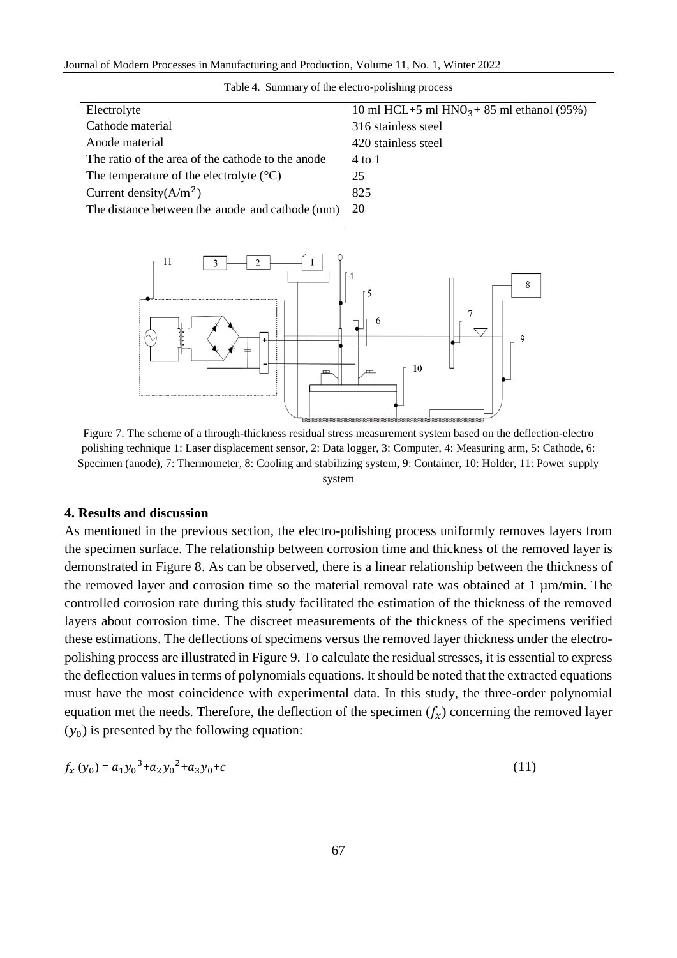| Electrolyte                                        | 10 ml HCL+5 ml HNO <sub>3</sub> +85 ml ethanol (95%) |
|----------------------------------------------------|------------------------------------------------------|
| Cathode material                                   | 316 stainless steel                                  |
| Anode material                                     | 420 stainless steel                                  |
| The ratio of the area of the cathode to the anode  | 4 to 1                                               |
| The temperature of the electrolyte $({}^{\circ}C)$ | 25                                                   |
| Current density $(A/m^2)$                          | 825                                                  |
| The distance between the anode and cathode (mm)    | 20                                                   |





Figure 7. The scheme of a through-thickness residual stress measurement system based on the deflection-electro polishing technique 1: Laser displacement sensor, 2: Data logger, 3: Computer, 4: Measuring arm, 5: Cathode, 6: Specimen (anode), 7: Thermometer, 8: Cooling and stabilizing system, 9: Container, 10: Holder, 11: Power supply system

#### **4. Results and discussion**

As mentioned in the previous section, the electro-polishing process uniformly removes layers from the specimen surface. The relationship between corrosion time and thickness of the removed layer is demonstrated in Figure 8. As can be observed, there is a linear relationship between the thickness of the removed layer and corrosion time so the material removal rate was obtained at 1 µm/min. The controlled corrosion rate during this study facilitated the estimation of the thickness of the removed layers about corrosion time. The discreet measurements of the thickness of the specimens verified these estimations. The deflections of specimens versus the removed layer thickness under the electropolishing process are illustrated in Figure 9. To calculate the residual stresses, it is essential to express the deflection values in terms of polynomials equations. It should be noted that the extracted equations must have the most coincidence with experimental data. In this study, the three-order polynomial equation met the needs. Therefore, the deflection of the specimen  $(f_x)$  concerning the removed layer  $(y_0)$  is presented by the following equation:

$$
f_x(y_0) = a_1 y_0^3 + a_2 y_0^2 + a_3 y_0 + c \tag{11}
$$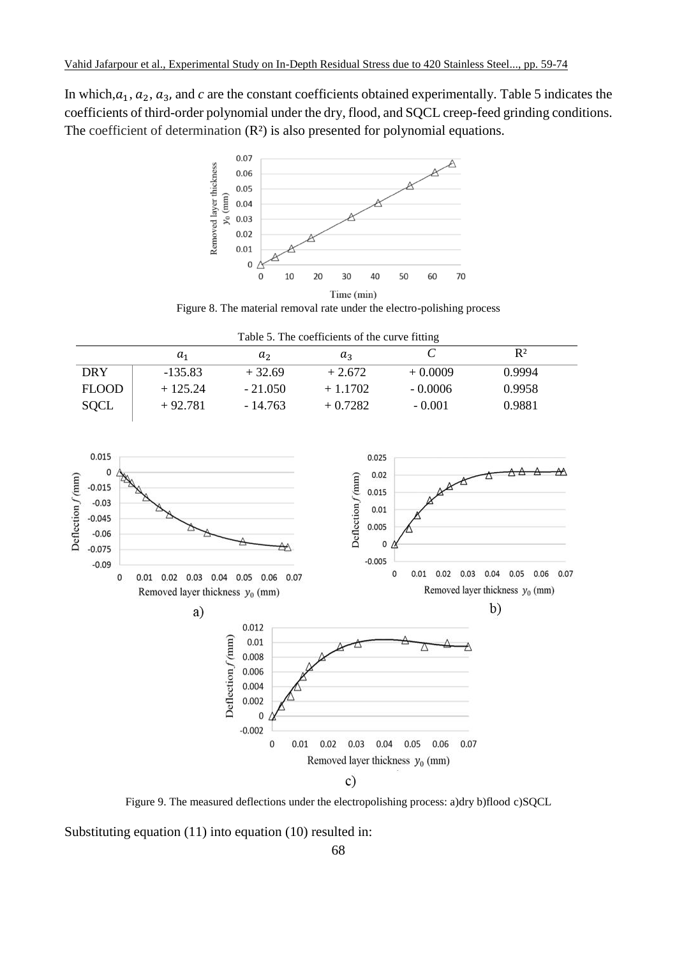In which, $a_1, a_2, a_3$ , and  $c$  are the constant coefficients obtained experimentally. Table 5 indicates the coefficients of third-order polynomial under the dry, flood, and SQCL creep-feed grinding conditions. The coefficient of determination  $(R<sup>2</sup>)$  is also presented for polynomial equations.



Figure 8. The material removal rate under the electro-polishing process

|  |  | Table 5. The coefficients of the curve fitting |
|--|--|------------------------------------------------|
|  |  |                                                |

|              | $a_1$     | a <sub>2</sub> | $a_{3}$   |           | $R^2$  |  |
|--------------|-----------|----------------|-----------|-----------|--------|--|
| <b>DRY</b>   | $-135.83$ | $+32.69$       | $+2.672$  | $+0.0009$ | 0.9994 |  |
| <b>FLOOD</b> | $+125.24$ | $-21.050$      | $+1.1702$ | $-0.0006$ | 0.9958 |  |
| <b>SQCL</b>  | $+92.781$ | - 14.763       | $+0.7282$ | $-0.001$  | 0.9881 |  |



Figure 9. The measured deflections under the electropolishing process: a)dry b)flood c)SQCL

Substituting equation (11) into equation (10) resulted in: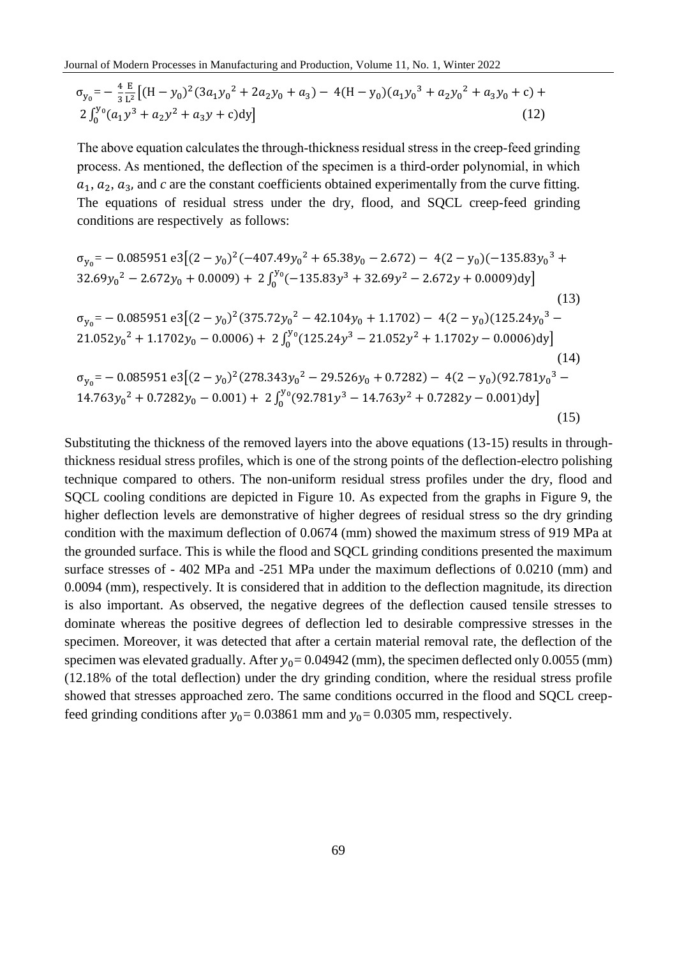$$
\sigma_{y_0} = -\frac{4}{3} \frac{E}{L^2} \left[ (H - y_0)^2 (3a_1 y_0^2 + 2a_2 y_0 + a_3) - 4(H - y_0)(a_1 y_0^3 + a_2 y_0^2 + a_3 y_0 + c) + 2 \int_0^{y_0} (a_1 y^3 + a_2 y^2 + a_3 y + c) dy \right]
$$
\n(12)

The above equation calculates the through-thickness residual stress in the creep-feed grinding process. As mentioned, the deflection of the specimen is a third-order polynomial, in which  $a_1, a_2, a_3$ , and  $c$  are the constant coefficients obtained experimentally from the curve fitting. The equations of residual stress under the dry, flood, and SQCL creep-feed grinding conditions are respectively as follows:

$$
\sigma_{y_0} = -0.085951 e3[(2 - y_0)^2(-407.49y_0^2 + 65.38y_0 - 2.672) - 4(2 - y_0)(-135.83y_0^3 + 32.69y_0^2 - 2.672y_0 + 0.0009) + 2\int_0^{y_0} (-135.83y^3 + 32.69y^2 - 2.672y + 0.0009)dy]
$$
\n(13)  
\n
$$
\sigma_{y_0} = -0.085951 e3[(2 - y_0)^2(375.72y_0^2 - 42.104y_0 + 1.1702) - 4(2 - y_0)(125.24y_0^3 - 21.052y_0^2 + 1.1702y_0 - 0.0006) + 2\int_0^{y_0} (125.24y^3 - 21.052y^2 + 1.1702y - 0.0006)dy]
$$
\n(14)  
\n
$$
\sigma_{y_0} = -0.085951 e3[(2 - y_0)^2(278.343y_0^2 - 29.526y_0 + 0.7282) - 4(2 - y_0)(92.781y_0^3 - 14.763y_0^2 + 0.7282y_0 - 0.001) + 2\int_0^{y_0} (92.781y^3 - 14.763y^2 + 0.7282y - 0.001)dy]
$$
\n(15)

Substituting the thickness of the removed layers into the above equations (13-15) results in throughthickness residual stress profiles, which is one of the strong points of the deflection-electro polishing technique compared to others. The non-uniform residual stress profiles under the dry, flood and SQCL cooling conditions are depicted in Figure 10. As expected from the graphs in Figure 9, the higher deflection levels are demonstrative of higher degrees of residual stress so the dry grinding condition with the maximum deflection of 0.0674 (mm) showed the maximum stress of 919 MPa at the grounded surface. This is while the flood and SQCL grinding conditions presented the maximum surface stresses of - 402 MPa and -251 MPa under the maximum deflections of 0.0210 (mm) and 0.0094 (mm), respectively. It is considered that in addition to the deflection magnitude, its direction is also important. As observed, the negative degrees of the deflection caused tensile stresses to dominate whereas the positive degrees of deflection led to desirable compressive stresses in the specimen. Moreover, it was detected that after a certain material removal rate, the deflection of the specimen was elevated gradually. After  $y_0$  = 0.04942 (mm), the specimen deflected only 0.0055 (mm) (12.18% of the total deflection) under the dry grinding condition, where the residual stress profile showed that stresses approached zero. The same conditions occurred in the flood and SQCL creepfeed grinding conditions after  $y_0$  = 0.03861 mm and  $y_0$  = 0.0305 mm, respectively.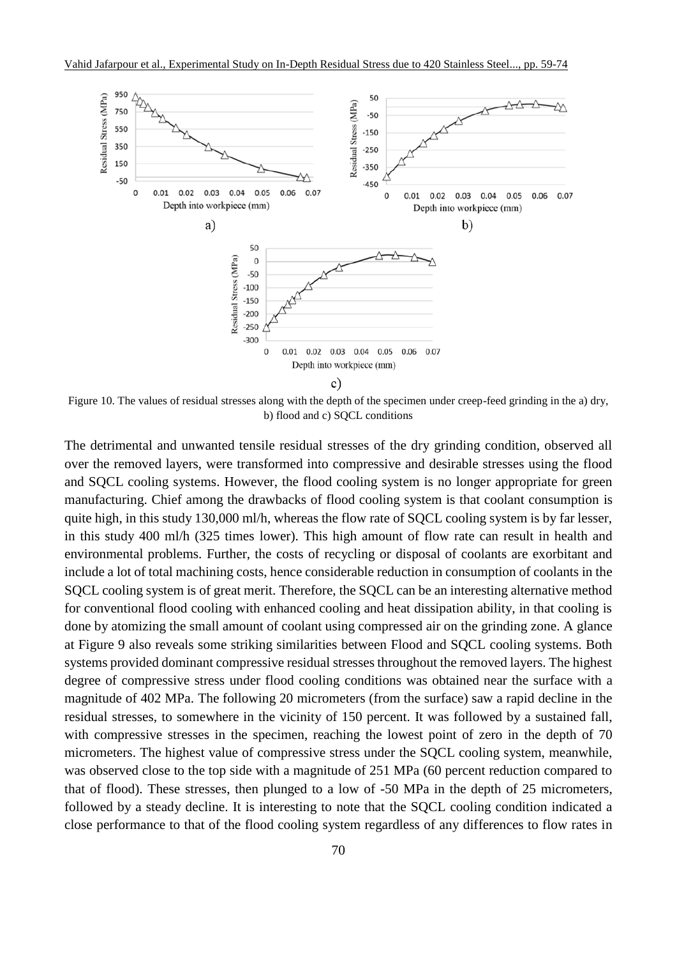

Figure 10. The values of residual stresses along with the depth of the specimen under creep-feed grinding in the a) dry, b) flood and c) SQCL conditions

The detrimental and unwanted tensile residual stresses of the dry grinding condition, observed all over the removed layers, were transformed into compressive and desirable stresses using the flood and SQCL cooling systems. However, the flood cooling system is no longer appropriate for green manufacturing. Chief among the drawbacks of flood cooling system is that coolant consumption is quite high, in this study 130,000 ml/h, whereas the flow rate of SQCL cooling system is by far lesser, in this study 400 ml/h (325 times lower). This high amount of flow rate can result in health and environmental problems. Further, the costs of recycling or disposal of coolants are exorbitant and include a lot of total machining costs, hence considerable reduction in consumption of coolants in the SQCL cooling system is of great merit. Therefore, the SQCL can be an interesting alternative method for conventional flood cooling with enhanced cooling and heat dissipation ability, in that cooling is done by atomizing the small amount of coolant using compressed air on the grinding zone. A glance at Figure 9 also reveals some striking similarities between Flood and SQCL cooling systems. Both systems provided dominant compressive residual stresses throughout the removed layers. The highest degree of compressive stress under flood cooling conditions was obtained near the surface with a magnitude of 402 MPa. The following 20 micrometers (from the surface) saw a rapid decline in the residual stresses, to somewhere in the vicinity of 150 percent. It was followed by a sustained fall, with compressive stresses in the specimen, reaching the lowest point of zero in the depth of 70 micrometers. The highest value of compressive stress under the SQCL cooling system, meanwhile, was observed close to the top side with a magnitude of 251 MPa (60 percent reduction compared to that of flood). These stresses, then plunged to a low of -50 MPa in the depth of 25 micrometers, followed by a steady decline. It is interesting to note that the SQCL cooling condition indicated a close performance to that of the flood cooling system regardless of any differences to flow rates in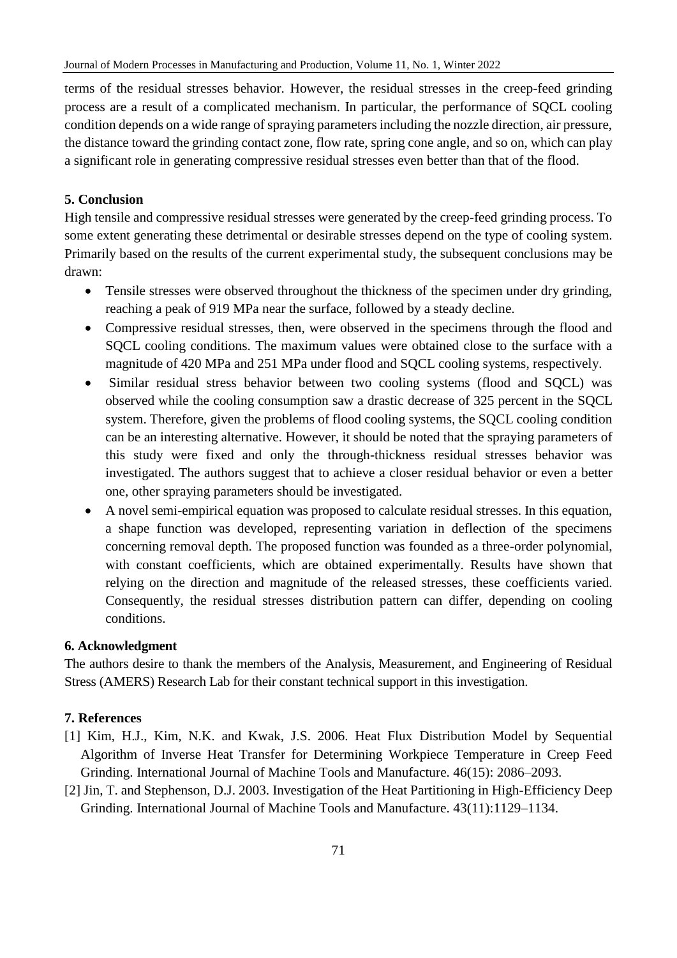terms of the residual stresses behavior. However, the residual stresses in the creep-feed grinding process are a result of a complicated mechanism. In particular, the performance of SQCL cooling condition depends on a wide range of spraying parameters including the nozzle direction, air pressure, the distance toward the grinding contact zone, flow rate, spring cone angle, and so on, which can play a significant role in generating compressive residual stresses even better than that of the flood.

## **5. Conclusion**

High tensile and compressive residual stresses were generated by the creep-feed grinding process. To some extent generating these detrimental or desirable stresses depend on the type of cooling system. Primarily based on the results of the current experimental study, the subsequent conclusions may be drawn:

- Tensile stresses were observed throughout the thickness of the specimen under dry grinding, reaching a peak of 919 MPa near the surface, followed by a steady decline.
- Compressive residual stresses, then, were observed in the specimens through the flood and SQCL cooling conditions. The maximum values were obtained close to the surface with a magnitude of 420 MPa and 251 MPa under flood and SQCL cooling systems, respectively.
- Similar residual stress behavior between two cooling systems (flood and SQCL) was observed while the cooling consumption saw a drastic decrease of 325 percent in the SQCL system. Therefore, given the problems of flood cooling systems, the SQCL cooling condition can be an interesting alternative. However, it should be noted that the spraying parameters of this study were fixed and only the through-thickness residual stresses behavior was investigated. The authors suggest that to achieve a closer residual behavior or even a better one, other spraying parameters should be investigated.
- A novel semi-empirical equation was proposed to calculate residual stresses. In this equation, a shape function was developed, representing variation in deflection of the specimens concerning removal depth. The proposed function was founded as a three-order polynomial, with constant coefficients, which are obtained experimentally. Results have shown that relying on the direction and magnitude of the released stresses, these coefficients varied. Consequently, the residual stresses distribution pattern can differ, depending on cooling conditions.

## **6. Acknowledgment**

The authors desire to thank the members of the Analysis, Measurement, and Engineering of Residual Stress (AMERS) Research Lab for their constant technical support in this investigation.

## **7. References**

- [1] Kim, H.J., Kim, N.K. and Kwak, J.S. 2006. Heat Flux Distribution Model by Sequential Algorithm of Inverse Heat Transfer for Determining Workpiece Temperature in Creep Feed Grinding. International Journal of Machine Tools and Manufacture. 46(15): 2086–2093.
- [2] Jin, T. and Stephenson, D.J. 2003. Investigation of the Heat Partitioning in High-Efficiency Deep Grinding. International Journal of Machine Tools and Manufacture. 43(11):1129–1134.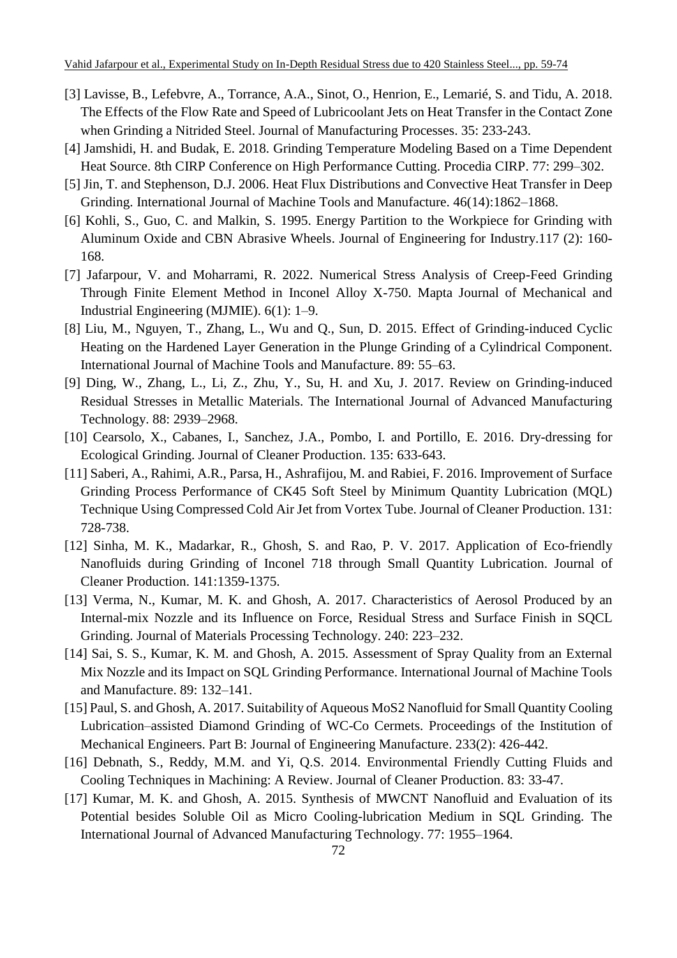- [3] Lavisse, B., Lefebvre, A., Torrance, A.A., Sinot, O., Henrion, E., Lemarié, S. and Tidu, A. 2018. The Effects of the Flow Rate and Speed of Lubricoolant Jets on Heat Transfer in the Contact Zone when Grinding a Nitrided Steel. Journal of Manufacturing Processes. 35: 233-243.
- [4] Jamshidi, H. and Budak, E. 2018. Grinding Temperature Modeling Based on a Time Dependent Heat Source. 8th CIRP Conference on High Performance Cutting. Procedia CIRP. 77: 299–302.
- [5] Jin, T. and Stephenson, D.J. 2006. Heat Flux Distributions and Convective Heat Transfer in Deep Grinding. International Journal of Machine Tools and Manufacture. 46(14):1862–1868.
- [6] Kohli, S., Guo, C. and Malkin, S. 1995. Energy Partition to the Workpiece for Grinding with Aluminum Oxide and CBN Abrasive Wheels. Journal of Engineering for Industry.117 (2): 160- 168.
- [7] Jafarpour, V. and Moharrami, R. 2022. Numerical Stress Analysis of Creep-Feed Grinding Through Finite Element Method in Inconel Alloy X-750. Mapta Journal of Mechanical and Industrial Engineering (MJMIE). 6(1): 1–9.
- [8] Liu, M., Nguyen, T., Zhang, L., Wu and Q., Sun, D. 2015. Effect of Grinding-induced Cyclic Heating on the Hardened Layer Generation in the Plunge Grinding of a Cylindrical Component. International Journal of Machine Tools and Manufacture. 89: 55–63.
- [9] Ding, W., Zhang, L., Li, Z., Zhu, Y., Su, H. and Xu, J. 2017. Review on Grinding-induced Residual Stresses in Metallic Materials. The International Journal of Advanced Manufacturing Technology. 88: 2939–2968.
- [10] Cearsolo, X., Cabanes, I., Sanchez, J.A., Pombo, I. and Portillo, E. 2016. Dry-dressing for Ecological Grinding. Journal of Cleaner Production. 135: 633-643.
- [11] Saberi, A., Rahimi, A.R., Parsa, H., Ashrafijou, M. and Rabiei, F. 2016. Improvement of Surface Grinding Process Performance of CK45 Soft Steel by Minimum Quantity Lubrication (MQL) Technique Using Compressed Cold Air Jet from Vortex Tube. Journal of Cleaner Production. 131: 728-738.
- [12] Sinha, M. K., Madarkar, R., Ghosh, S. and Rao, P. V. 2017. Application of Eco-friendly Nanofluids during Grinding of Inconel 718 through Small Quantity Lubrication. Journal of Cleaner Production. 141:1359-1375.
- [13] Verma, N., Kumar, M. K. and Ghosh, A. 2017. Characteristics of Aerosol Produced by an Internal-mix Nozzle and its Influence on Force, Residual Stress and Surface Finish in SQCL Grinding. Journal of Materials Processing Technology. 240: 223–232.
- [14] Sai, S. S., Kumar, K. M. and Ghosh, A. 2015. Assessment of Spray Quality from an External Mix Nozzle and its Impact on SQL Grinding Performance. International Journal of Machine Tools and Manufacture. 89: 132–141.
- [15] Paul[, S.](https://journals.sagepub.com/doi/abs/10.1177/0954405417739037) and Ghosh, [A.](https://journals.sagepub.com/doi/abs/10.1177/0954405417739037) 2017. Suitability of Aqueous MoS2 Nanofluid for Small Quantity Cooling Lubrication–assisted Diamond Grinding of WC-Co Cermets. Proceedings of the Institution of Mechanical Engineers. Part B: Journal of Engineering Manufacture. 233(2): 426-442.
- [16] Debnath, S., Reddy, M.M. and Yi, Q.S. 2014. Environmental Friendly Cutting Fluids and Cooling Techniques in Machining: A Review. Journal of Cleaner Production. 83: 33-47.
- [17] Kumar, M. K. and Ghosh, A. 2015. Synthesis of MWCNT Nanofluid and Evaluation of its Potential besides Soluble Oil as Micro Cooling-lubrication Medium in SQL Grinding. The International Journal of Advanced Manufacturing Technology. 77: 1955–1964.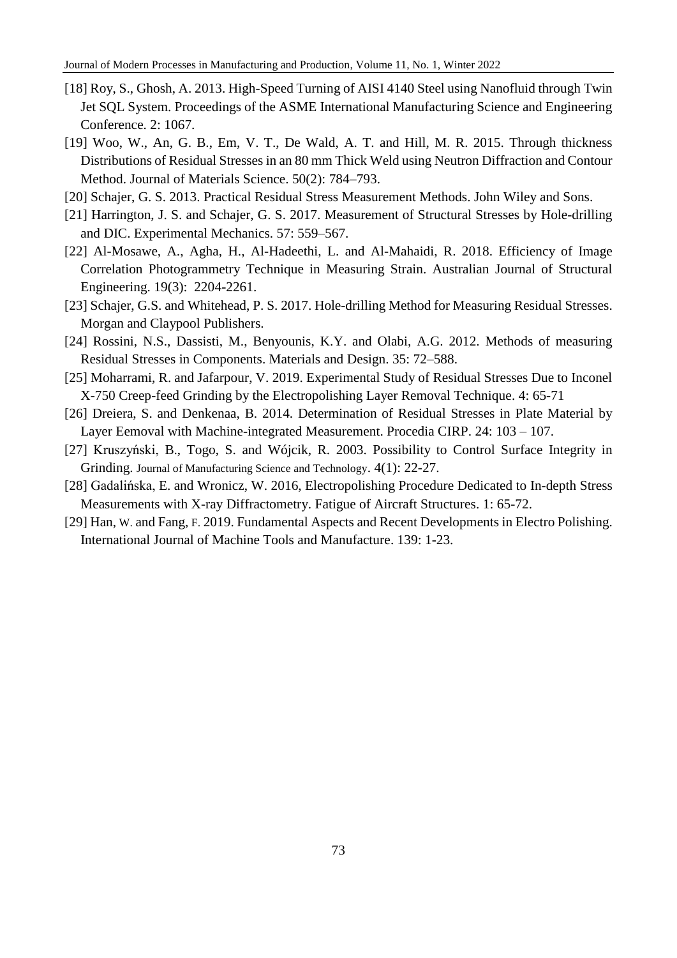- [18] Roy, S., Ghosh, A. 2013. High-Speed Turning of AISI 4140 Steel using Nanofluid through Twin Jet SQL System. Proceedings of the ASME International Manufacturing Science and Engineering Conference. 2: 1067.
- [19] Woo, W., An, G. B., Em, V. T., De Wald, A. T. and Hill, M. R. 2015. Through thickness Distributions of Residual Stresses in an 80 mm Thick Weld using Neutron Diffraction and Contour Method. [Journal of Materials Science.](https://link.springer.com/journal/10853) 50(2): 784–793.
- [20] Schajer, G. S. 2013. Practical Residual Stress Measurement Methods. John Wiley and Sons.
- [21] Harrington, J. S. and Schajer, G. S. 2017. Measurement of Structural Stresses by Hole-drilling and DIC. Experimental Mechanics. 57: 559–567.
- [22] Al-Mosawe, A., Agha, H., Al-Hadeethi, L. and Al-Mahaidi, R. 2018. Efficiency of Image Correlation Photogrammetry Technique in Measuring Strain. Australian Journal of Structural Engineering. 19(3): 2204-2261.
- [23] Schajer, G.S. and Whitehead, P. S. 2017. Hole-drilling Method for Measuring Residual Stresses. Morgan and Claypool Publishers.
- [24] Rossini, N.S., Dassisti, M., Benyounis, K.Y. and Olabi, A.G. 2012. Methods of measuring Residual Stresses in Components. Materials and Design. 35: 72–588.
- [25] Moharrami, R. and Jafarpour, V. 2019. Experimental Study of Residual Stresses Due to Inconel X-750 Creep-feed Grinding by the Electropolishing Layer Removal Technique. 4: 65-71
- [26] Dreiera, S. and Denkenaa, B. 2014. Determination of Residual Stresses in Plate Material by Layer Eemoval with Machine-integrated Measurement. Procedia CIRP. 24: 103 – 107.
- [27] Kruszyński, B., Togo, S. and Wójcik, R. 2003. Possibility to Control Surface Integrity in Grinding. Journal of Manufacturing Science and Technology. 4(1): 22-27.
- [28] Gadalińska, E. and Wronicz, W. 2016, Electropolishing Procedure Dedicated to In-depth Stress Measurements with X-ray Diffractometry. Fatigue of Aircraft Structures. 1: 65-72.
- [29] Han, [W.](https://www.sciencedirect.com/science/article/pii/S0890695518301925#!) and Fang, [F.](https://www.sciencedirect.com/science/article/pii/S0890695518301925#!) 2019. Fundamental Aspects and Recent Developments in Electro Polishing. [International Journal of Machine Tools and Manufacture.](https://www.sciencedirect.com/science/journal/08906955) 139: 1-23.